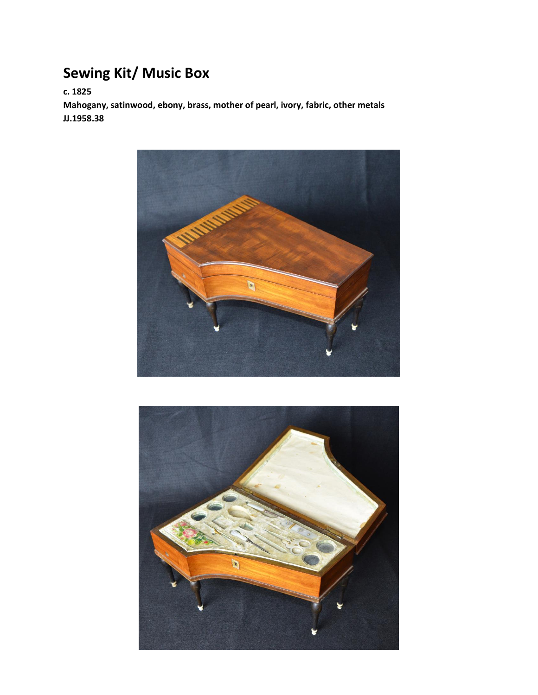## **Sewing Kit/ Music Box**

**c. 1825**

**Mahogany, satinwood, ebony, brass, mother of pearl, ivory, fabric, other metals JJ.1958.38**